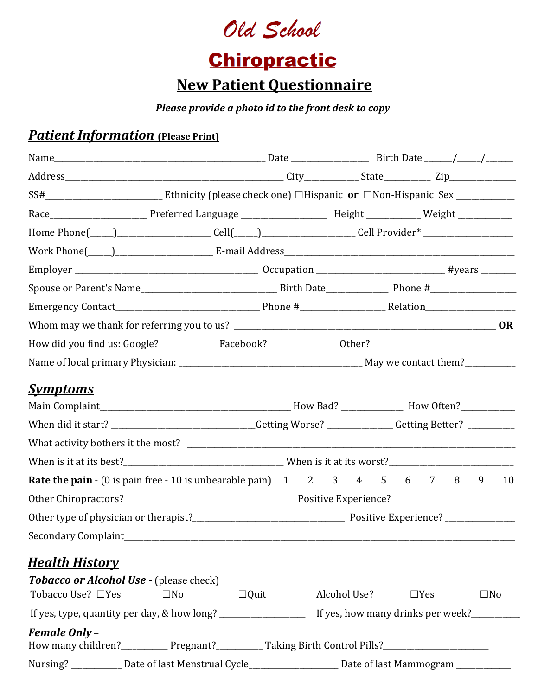

# **Chiropractic**

# **New Patient Questionnaire**

### *Please provide a photo id to the front desk to copy*

### *Patient Information* (Please Print)

| Home Phone(____)_____________________Cell(____)__________________Cell Provider*_____________________                                    |              |             |  |                                                                                                         |  |  |  |  |  |              |    |
|-----------------------------------------------------------------------------------------------------------------------------------------|--------------|-------------|--|---------------------------------------------------------------------------------------------------------|--|--|--|--|--|--------------|----|
|                                                                                                                                         |              |             |  |                                                                                                         |  |  |  |  |  |              |    |
|                                                                                                                                         |              |             |  |                                                                                                         |  |  |  |  |  |              |    |
|                                                                                                                                         |              |             |  |                                                                                                         |  |  |  |  |  |              |    |
|                                                                                                                                         |              |             |  |                                                                                                         |  |  |  |  |  |              |    |
|                                                                                                                                         |              |             |  |                                                                                                         |  |  |  |  |  |              |    |
|                                                                                                                                         |              |             |  |                                                                                                         |  |  |  |  |  |              |    |
|                                                                                                                                         |              |             |  |                                                                                                         |  |  |  |  |  |              |    |
| <b>Symptoms</b>                                                                                                                         |              |             |  |                                                                                                         |  |  |  |  |  |              |    |
|                                                                                                                                         |              |             |  |                                                                                                         |  |  |  |  |  |              |    |
|                                                                                                                                         |              |             |  | When did it start? _____________________________Getting Worse? _____________Getting Better? ___________ |  |  |  |  |  |              |    |
|                                                                                                                                         |              |             |  |                                                                                                         |  |  |  |  |  |              |    |
|                                                                                                                                         |              |             |  |                                                                                                         |  |  |  |  |  |              |    |
| <b>Rate the pain</b> $\cdot$ (0 is pain free $\cdot$ 10 is unbearable pain) $1 \quad 2 \quad 3 \quad 4 \quad 5 \quad 6 \quad 7 \quad 8$ |              |             |  |                                                                                                         |  |  |  |  |  | 9            | 10 |
|                                                                                                                                         |              |             |  |                                                                                                         |  |  |  |  |  |              |    |
|                                                                                                                                         |              |             |  |                                                                                                         |  |  |  |  |  |              |    |
|                                                                                                                                         |              |             |  |                                                                                                         |  |  |  |  |  |              |    |
|                                                                                                                                         |              |             |  |                                                                                                         |  |  |  |  |  |              |    |
| <u>Health History</u>                                                                                                                   |              |             |  |                                                                                                         |  |  |  |  |  |              |    |
| Tobacco or Alcohol Use - (please check)<br>Tobacco Use? $\Box$ Yes                                                                      | $\square$ No | $\Box$ Quit |  | Alcohol Use? $\Box$ Yes                                                                                 |  |  |  |  |  | $\square$ No |    |
|                                                                                                                                         |              |             |  | If yes, how many drinks per week?                                                                       |  |  |  |  |  |              |    |
| <b>Female Only -</b>                                                                                                                    |              |             |  |                                                                                                         |  |  |  |  |  |              |    |
| How many children?______________Pregnant?_____________Taking Birth Control Pills?_____________________________                          |              |             |  |                                                                                                         |  |  |  |  |  |              |    |
| Nursing? ___________ Date of last Menstrual Cycle_____________________ Date of last Mammogram _________                                 |              |             |  |                                                                                                         |  |  |  |  |  |              |    |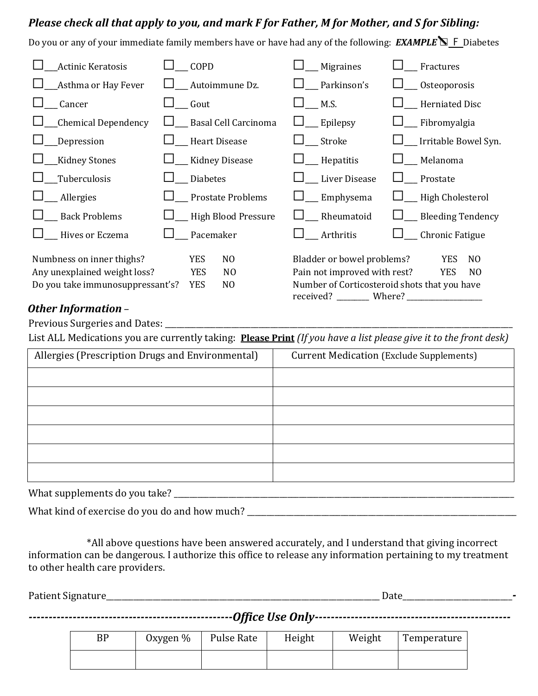#### *Please check all that apply to you, and mark F for Father, M for Mother, and S for Sibling:*

Do you or any of your immediate family members have or have had any of the following: *EXAMPLE* ☐ F Diabetes

| <b>Actinic Keratosis</b>         | COPD                         | Migraines                                                 | Fractures                    |
|----------------------------------|------------------------------|-----------------------------------------------------------|------------------------------|
| Asthma or Hay Fever              | Autoimmune Dz.               | Parkinson's                                               | __ Osteoporosis              |
| Cancer                           | Gout                         | M.S.                                                      | Herniated Disc               |
| Chemical Dependency              | _ Basal Cell Carcinoma       | Epilepsy                                                  | Fibromyalgia                 |
| <b>Depression</b>                | Heart Disease                | Stroke                                                    | __ Irritable Bowel Syn.      |
| <b>Kidney Stones</b>             | Kidney Disease               | Hepatitis                                                 | Melanoma                     |
| _Tuberculosis                    | <b>Diabetes</b>              | Liver Disease                                             | Prostate                     |
| _Allergies                       | Prostate Problems            | Emphysema                                                 | __ High Cholesterol          |
| <b>Back Problems</b>             | <b>High Blood Pressure</b>   | Rheumatoid                                                | _ Bleeding Tendency          |
| Hives or Eczema                  | Pacemaker                    | Arthritis                                                 | Chronic Fatigue              |
| Numbness on inner thighs?        | <b>YES</b><br>N <sub>O</sub> | Bladder or bowel problems?                                | <b>YES</b><br>N <sub>O</sub> |
| Any unexplained weight loss?     | YES<br>N <sub>0</sub>        | Pain not improved with rest?                              | <b>YES</b><br>N <sub>O</sub> |
| Do you take immunosuppressant's? | <b>YES</b><br>N <sub>0</sub> | Number of Corticosteroid shots that you have<br>received? | Where?                       |

#### *Other Information* –

Previous Surgeries and Dates: \_\_\_\_\_\_\_\_\_\_\_\_\_\_\_\_\_\_\_\_\_\_\_\_\_\_\_\_\_\_\_\_\_\_\_\_\_\_\_\_\_\_\_\_\_\_\_\_\_\_\_\_\_\_\_\_\_\_\_\_\_\_\_\_\_\_\_\_\_\_\_\_\_\_\_\_\_\_\_\_\_\_\_\_\_\_\_\_\_

List ALL Medications you are currently taking: **Please Print** *(If you have a list please give it to the front desk)*

| Allergies (Prescription Drugs and Environmental) | <b>Current Medication (Exclude Supplements)</b> |
|--------------------------------------------------|-------------------------------------------------|
|                                                  |                                                 |
|                                                  |                                                 |
|                                                  |                                                 |
|                                                  |                                                 |
|                                                  |                                                 |
|                                                  |                                                 |

What supplements do you take? \_\_\_\_\_\_\_\_\_\_\_\_\_\_\_\_\_\_\_\_\_\_\_\_\_\_\_\_\_\_\_\_\_\_\_\_\_\_\_\_\_\_\_\_\_\_\_\_\_\_\_\_\_\_\_\_\_\_\_\_\_\_\_\_\_\_\_\_\_\_\_\_\_\_\_\_\_\_\_\_\_\_\_\_\_\_\_

What kind of exercise do you do and how much? \_\_\_\_\_\_\_\_\_\_\_\_\_\_\_\_\_\_\_\_\_\_\_\_\_\_\_\_\_\_\_\_\_\_\_\_\_\_\_\_\_\_\_\_\_\_\_\_\_\_\_\_\_\_\_\_\_\_\_\_\_\_\_\_\_\_\_\_\_

\*All above questions have been answered accurately, and I understand that giving incorrect information can be dangerous. I authorize this office to release any information pertaining to my treatment to other health care providers.

| <b>Patient Signature</b> |  |
|--------------------------|--|
|                          |  |

|  |          |            | - , , - - - - - - - - - - - - |        |             |
|--|----------|------------|-------------------------------|--------|-------------|
|  | Oxygen % | Pulse Rate | Height                        | Weight | Temperature |

| BP | Oxygen $%$ | Pulse Rate | Height | Weight | Temperature |
|----|------------|------------|--------|--------|-------------|
|    |            |            |        |        |             |